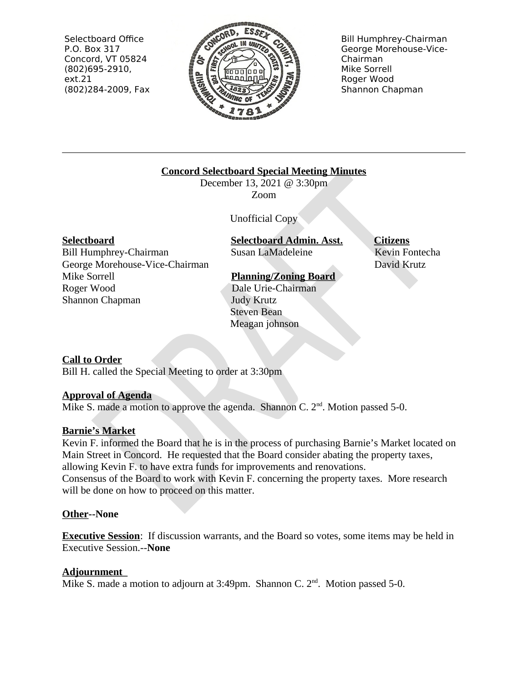Selectboard Office P.O. Box 317 Concord, VT 05824  $(802)695-2910,$  $ext.21$ (802)284-2009, Fax



**Bill Humphrey-Chairman** George Morehouse-Vice-Chairman Mike Sorrell Roger Wood Shannon Chapman

### **Concord Selectboard Special Meeting Minutes**

December 13, 2021 @ 3:30pm Zoom

**Unofficial Copy** 

#### **Selectboard**

**Bill Humphrey-Chairman** George Morehouse-Vice-Chairman Mike Sorrell Roger Wood Shannon Chapman

**Selectboard Admin. Asst.** Susan LaMadeleine

# **Planning/Zoning Board**

Dale Urie-Chairman

**Judy Krutz Steven Bean** Meagan johnson **Citizens** Kevin Fontecha David Krutz

## **Call to Order**

Bill H. called the Special Meeting to order at 3:30pm

#### **Approval of Agenda**

Mike S. made a motion to approve the agenda. Shannon C.  $2<sup>nd</sup>$ . Motion passed 5-0.

#### **Barnie's Market**

Kevin F. informed the Board that he is in the process of purchasing Barnie's Market located on Main Street in Concord. He requested that the Board consider abating the property taxes, allowing Kevin F, to have extra funds for improvements and renovations. Consensus of the Board to work with Kevin F. concerning the property taxes. More research will be done on how to proceed on this matter.

#### **Other--None**

**Executive Session:** If discussion warrants, and the Board so votes, some items may be held in **Executive Session.--None** 

#### Adjournment

Mike S. made a motion to adjourn at 3:49pm. Shannon C. 2<sup>nd</sup>. Motion passed 5-0.